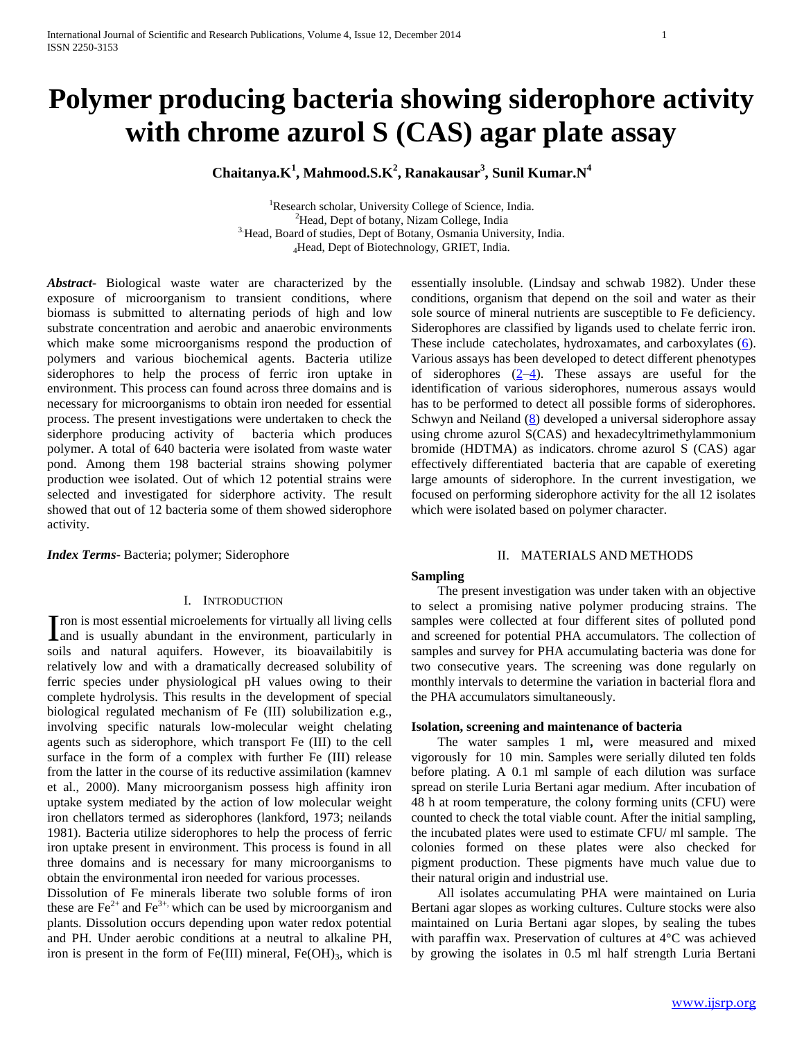# **Polymer producing bacteria showing siderophore activity with chrome azurol S (CAS) agar plate assay**

**Chaitanya.K<sup>1</sup> , Mahmood.S.K<sup>2</sup> , Ranakausar<sup>3</sup> , Sunil Kumar.N<sup>4</sup>**

<sup>1</sup>Research scholar, University College of Science, India. <sup>2</sup>Head, Dept of botany, Nizam College, India <sup>3.</sup>Head, Board of studies, Dept of Botany, Osmania University, India. <sup>4</sup>Head, Dept of Biotechnology, GRIET, India.

*Abstract***-** Biological waste water are characterized by the exposure of microorganism to transient conditions, where biomass is submitted to alternating periods of high and low substrate concentration and aerobic and anaerobic environments which make some microorganisms respond the production of polymers and various biochemical agents. Bacteria utilize siderophores to help the process of ferric iron uptake in environment. This process can found across three domains and is necessary for microorganisms to obtain iron needed for essential process. The present investigations were undertaken to check the siderphore producing activity of bacteria which produces polymer. A total of 640 bacteria were isolated from waste water pond. Among them 198 bacterial strains showing polymer production wee isolated. Out of which 12 potential strains were selected and investigated for siderphore activity. The result showed that out of 12 bacteria some of them showed siderophore activity.

*Index Terms*- Bacteria; polymer; Siderophore

## I. INTRODUCTION

ron is most essential microelements for virtually all living cells I ron is most essential microelements for virtually all living cells<br>and is usually abundant in the environment, particularly in soils and natural aquifers. However, its bioavailabitily is relatively low and with a dramatically decreased solubility of ferric species under physiological pH values owing to their complete hydrolysis. This results in the development of special biological regulated mechanism of Fe (III) solubilization e.g., involving specific naturals low-molecular weight chelating agents such as siderophore, which transport Fe (III) to the cell surface in the form of a complex with further Fe (III) release from the latter in the course of its reductive assimilation (kamnev et al., 2000). Many microorganism possess high affinity iron uptake system mediated by the action of low molecular weight iron chellators termed as siderophores (lankford, 1973; neilands 1981). Bacteria utilize siderophores to help the process of ferric iron uptake present in environment. This process is found in all three domains and is necessary for many microorganisms to obtain the environmental iron needed for various processes.

Dissolution of Fe minerals liberate two soluble forms of iron these are  $Fe^{2+}$  and  $Fe^{3+}$ , which can be used by microorganism and plants. Dissolution occurs depending upon water redox potential and PH. Under aerobic conditions at a neutral to alkaline PH, iron is present in the form of Fe(III) mineral,  $Fe(OH)_{3}$ , which is

essentially insoluble. (Lindsay and schwab 1982). Under these conditions, organism that depend on the soil and water as their sole source of mineral nutrients are susceptible to Fe deficiency. Siderophores are classified by ligands used to chelate ferric iron. These include catecholates, hydroxamates, and carboxylates [\(6\)](http://jmbe.asm.org/index.php/jmbe/article/view/249/html_106#b6-249). Various assays has been developed to detect different phenotypes of siderophores  $(2-4)$  $(2-4)$ . These assays are useful for the identification of various siderophores, numerous assays would has to be performed to detect all possible forms of siderophores. Schwyn and Neiland [\(8\)](http://jmbe.asm.org/index.php/jmbe/article/view/249/html_106#b8-249) developed a universal siderophore assay using chrome azurol S(CAS) and hexadecyltrimethylammonium bromide (HDTMA) as indicators. chrome azurol S (CAS) agar effectively differentiated bacteria that are capable of exereting large amounts of siderophore. In the current investigation, we focused on performing siderophore activity for the all 12 isolates which were isolated based on polymer character.

## II. MATERIALS AND METHODS

#### **Sampling**

The present investigation was under taken with an objective to select a promising native polymer producing strains. The samples were collected at four different sites of polluted pond and screened for potential PHA accumulators. The collection of samples and survey for PHA accumulating bacteria was done for two consecutive years. The screening was done regularly on monthly intervals to determine the variation in bacterial flora and the PHA accumulators simultaneously.

#### **Isolation, screening and maintenance of bacteria**

The water samples 1 ml, were measured and mixed vigorously for 10 min. Samples were serially diluted ten folds before plating. A 0.1 ml sample of each dilution was surface spread on sterile Luria Bertani agar medium. After incubation of 48 h at room temperature, the colony forming units (CFU) were counted to check the total viable count. After the initial sampling, the incubated plates were used to estimate CFU/ ml sample. The colonies formed on these plates were also checked for pigment production. These pigments have much value due to their natural origin and industrial use.

All isolates accumulating PHA were maintained on Luria Bertani agar slopes as working cultures. Culture stocks were also maintained on Luria Bertani agar slopes, by sealing the tubes with paraffin wax. Preservation of cultures at 4°C was achieved by growing the isolates in 0.5 ml half strength Luria Bertani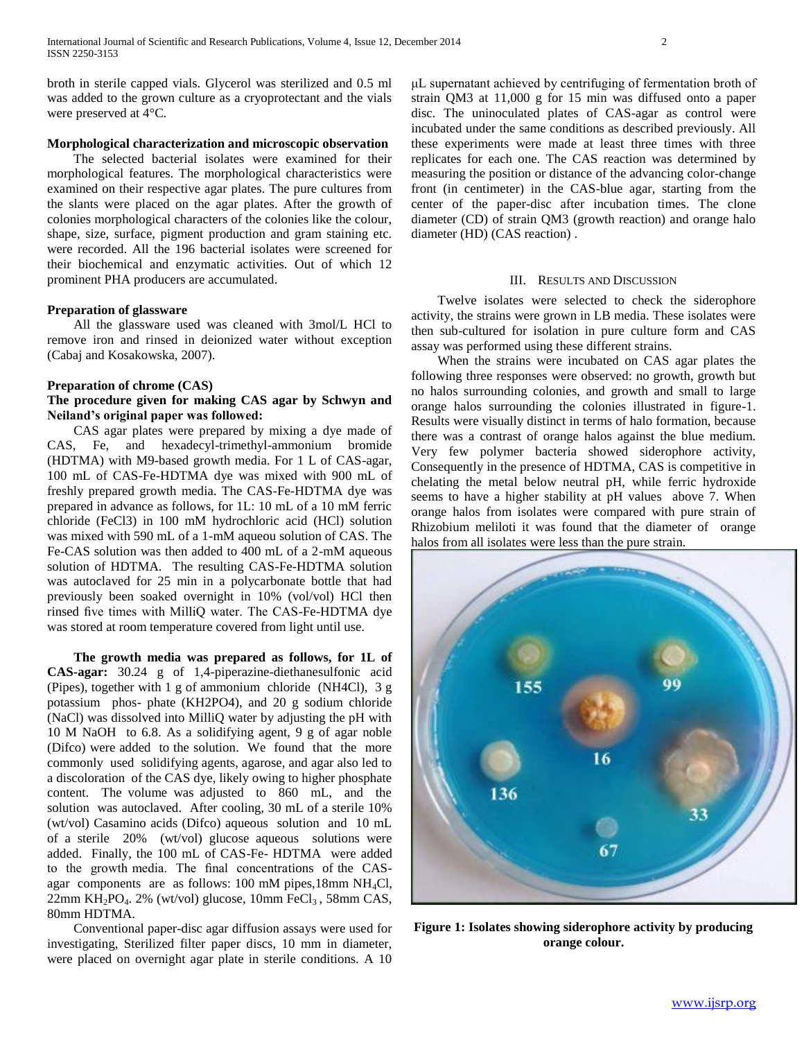broth in sterile capped vials. Glycerol was sterilized and 0.5 ml was added to the grown culture as a cryoprotectant and the vials were preserved at 4°C.

# **Morphological characterization and microscopic observation**

The selected bacterial isolates were examined for their morphological features. The morphological characteristics were examined on their respective agar plates. The pure cultures from the slants were placed on the agar plates. After the growth of colonies morphological characters of the colonies like the colour, shape, size, surface, pigment production and gram staining etc. were recorded. All the 196 bacterial isolates were screened for their biochemical and enzymatic activities. Out of which 12 prominent PHA producers are accumulated.

# **Preparation of glassware**

All the glassware used was cleaned with 3mol/L HCl to remove iron and rinsed in deionized water without exception (Cabaj and Kosakowska, 2007).

#### **Preparation of chrome (CAS)**

# **The procedure given for making CAS agar by Schwyn and Neiland's original paper was followed:**

CAS agar plates were prepared by mixing a dye made of CAS, Fe, and hexadecyl-trimethyl-ammonium bromide (HDTMA) with M9-based growth media. For 1 L of CAS-agar, 100 mL of CAS-Fe-HDTMA dye was mixed with 900 mL of freshly prepared growth media. The CAS-Fe-HDTMA dye was prepared in advance as follows, for 1L: 10 mL of a 10 mM ferric chloride (FeCl3) in 100 mM hydrochloric acid (HCl) solution was mixed with 590 mL of a 1-mM aqueou solution of CAS. The Fe-CAS solution was then added to 400 mL of a 2-mM aqueous solution of HDTMA. The resulting CAS-Fe-HDTMA solution was autoclaved for 25 min in a polycarbonate bottle that had previously been soaked overnight in 10% (vol/vol) HCl then rinsed five times with MilliQ water. The CAS-Fe-HDTMA dye was stored at room temperature covered from light until use.

 **The growth media was prepared as follows, for 1L of CAS-agar:** 30.24 g of 1,4-piperazine-diethanesulfonic acid (Pipes), together with 1 g of ammonium chloride (NH4Cl), 3 g potassium phos- phate (KH2PO4), and 20 g sodium chloride (NaCl) was dissolved into MilliQ water by adjusting the pH with 10 M NaOH to 6.8. As a solidifying agent, 9 g of agar noble (Difco) were added to the solution. We found that the more commonly used solidifying agents, agarose, and agar also led to a discoloration of the CAS dye, likely owing to higher phosphate content. The volume was adjusted to 860 mL, and the solution was autoclaved. After cooling, 30 mL of a sterile 10% (wt/vol) Casamino acids (Difco) aqueous solution and 10 mL of a sterile 20% (wt/vol) glucose aqueous solutions were added. Finally, the 100 mL of CAS-Fe- HDTMA were added to the growth media. The final concentrations of the CASagar components are as follows:  $100 \text{ mM pipes}, 18 \text{ mm NH}_4\text{Cl}$ ,  $22mm$  KH<sub>2</sub>PO<sub>4</sub>. 2% (wt/vol) glucose, 10mm FeCl<sub>3</sub>, 58mm CAS, 80mm HDTMA.

Conventional paper-disc agar diffusion assays were used for investigating, Sterilized filter paper discs, 10 mm in diameter, were placed on overnight agar plate in sterile conditions. A 10

μL supernatant achieved by centrifuging of fermentation broth of strain QM3 at 11,000 g for 15 min was diffused onto a paper disc. The uninoculated plates of CAS-agar as control were incubated under the same conditions as described previously. All these experiments were made at least three times with three replicates for each one. The CAS reaction was determined by measuring the position or distance of the advancing color-change front (in centimeter) in the CAS-blue agar, starting from the center of the paper-disc after incubation times. The clone diameter (CD) of strain QM3 (growth reaction) and orange halo diameter (HD) (CAS reaction) .

#### III. RESULTS AND DISCUSSION

Twelve isolates were selected to check the siderophore activity, the strains were grown in LB media. These isolates were then sub-cultured for isolation in pure culture form and CAS assay was performed using these different strains.

When the strains were incubated on CAS agar plates the following three responses were observed: no growth, growth but no halos surrounding colonies, and growth and small to large orange halos surrounding the colonies illustrated in figure-1. Results were visually distinct in terms of halo formation, because there was a contrast of orange halos against the blue medium. Very few polymer bacteria showed siderophore activity, Consequently in the presence of HDTMA, CAS is competitive in chelating the metal below neutral pH, while ferric hydroxide seems to have a higher stability at pH values above 7. When orange halos from isolates were compared with pure strain of Rhizobium meliloti it was found that the diameter of orange halos from all isolates were less than the pure strain.



**Figure 1: Isolates showing siderophore activity by producing orange colour.**